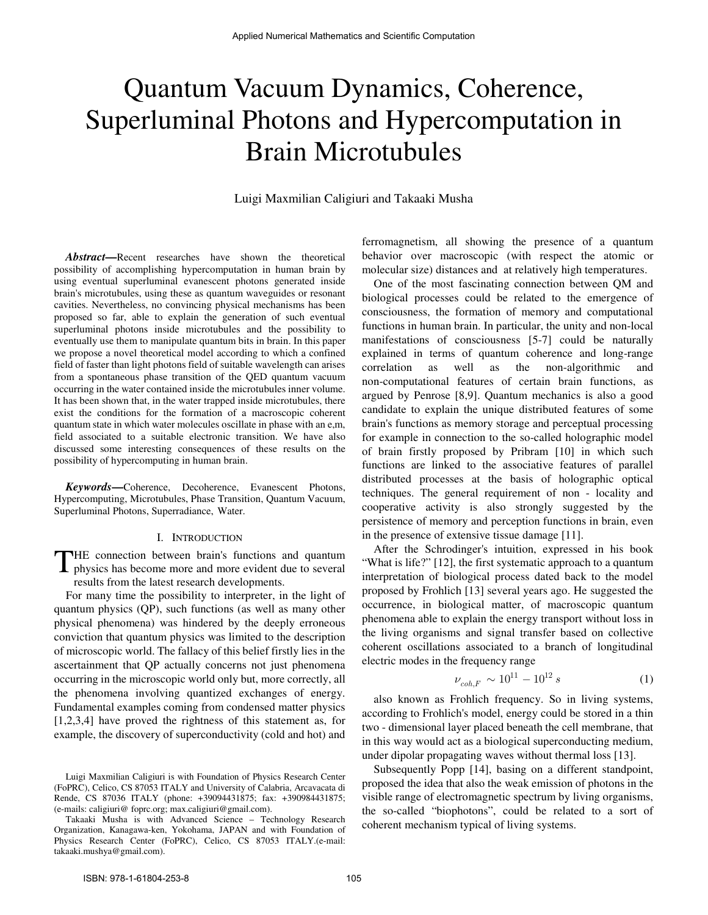# Quantum Vacuum Dynamics, Coherence, Superluminal Photons and Hypercomputation in Brain Microtubules

Luigi Maxmilian Caligiuri and Takaaki Musha

*Abstract***—**Recent researches have shown the theoretical possibility of accomplishing hypercomputation in human brain by using eventual superluminal evanescent photons generated inside brain's microtubules, using these as quantum waveguides or resonant cavities. Nevertheless, no convincing physical mechanisms has been proposed so far, able to explain the generation of such eventual superluminal photons inside microtubules and the possibility to eventually use them to manipulate quantum bits in brain. In this paper we propose a novel theoretical model according to which a confined field of faster than light photons field of suitable wavelength can arises from a spontaneous phase transition of the QED quantum vacuum occurring in the water contained inside the microtubules inner volume. It has been shown that, in the water trapped inside microtubules, there exist the conditions for the formation of a macroscopic coherent quantum state in which water molecules oscillate in phase with an e,m, field associated to a suitable electronic transition. We have also discussed some interesting consequences of these results on the possibility of hypercomputing in human brain.

*Keywords***—**Coherence, Decoherence, Evanescent Photons, Hypercomputing, Microtubules, Phase Transition, Quantum Vacuum, Superluminal Photons, Superradiance, Water.

#### I. INTRODUCTION

THE connection between brain's functions and quantum<br>physics has become more and more evident due to several physics has become more and more evident due to several results from the latest research developments.

For many time the possibility to interpreter, in the light of quantum physics (QP), such functions (as well as many other physical phenomena) was hindered by the deeply erroneous conviction that quantum physics was limited to the description of microscopic world. The fallacy of this belief firstly lies in the ascertainment that QP actually concerns not just phenomena occurring in the microscopic world only but, more correctly, all the phenomena involving quantized exchanges of energy. Fundamental examples coming from condensed matter physics [1,2,3,4] have proved the rightness of this statement as, for example, the discovery of superconductivity (cold and hot) and

ferromagnetism, all showing the presence of a quantum behavior over macroscopic (with respect the atomic or molecular size) distances and at relatively high temperatures.

One of the most fascinating connection between QM and biological processes could be related to the emergence of consciousness, the formation of memory and computational functions in human brain. In particular, the unity and non-local manifestations of consciousness [5-7] could be naturally explained in terms of quantum coherence and long-range correlation as well as the non-algorithmic and non-computational features of certain brain functions, as argued by Penrose [8,9]. Quantum mechanics is also a good candidate to explain the unique distributed features of some brain's functions as memory storage and perceptual processing for example in connection to the so-called holographic model of brain firstly proposed by Pribram [10] in which such functions are linked to the associative features of parallel distributed processes at the basis of holographic optical techniques. The general requirement of non - locality and cooperative activity is also strongly suggested by the persistence of memory and perception functions in brain, even in the presence of extensive tissue damage [11].

After the Schrodinger's intuition, expressed in his book "What is life?" [12], the first systematic approach to a quantum interpretation of biological process dated back to the model proposed by Frohlich [13] several years ago. He suggested the occurrence, in biological matter, of macroscopic quantum phenomena able to explain the energy transport without loss in the living organisms and signal transfer based on collective coherent oscillations associated to a branch of longitudinal electric modes in the frequency range

$$
\nu_{coh,F} \sim 10^{11} - 10^{12} s \tag{1}
$$

also known as Frohlich frequency. So in living systems, according to Frohlich's model, energy could be stored in a thin two - dimensional layer placed beneath the cell membrane, that in this way would act as a biological superconducting medium, under dipolar propagating waves without thermal loss [13].

Subsequently Popp [14], basing on a different standpoint, proposed the idea that also the weak emission of photons in the visible range of electromagnetic spectrum by living organisms, the so-called "biophotons", could be related to a sort of coherent mechanism typical of living systems.

Luigi Maxmilian Caligiuri is with Foundation of Physics Research Center (FoPRC), Celico, CS 87053 ITALY and University of Calabria, Arcavacata di Rende, CS 87036 ITALY (phone: +39094431875; fax: +390984431875; (e-mails: caligiuri@ foprc.org; max.caligiuri@gmail.com).

Takaaki Musha is with Advanced Science – Technology Research Organization, Kanagawa-ken, Yokohama, JAPAN and with Foundation of Physics Research Center (FoPRC), Celico, CS 87053 ITALY.(e-mail: takaaki.mushya@gmail.com).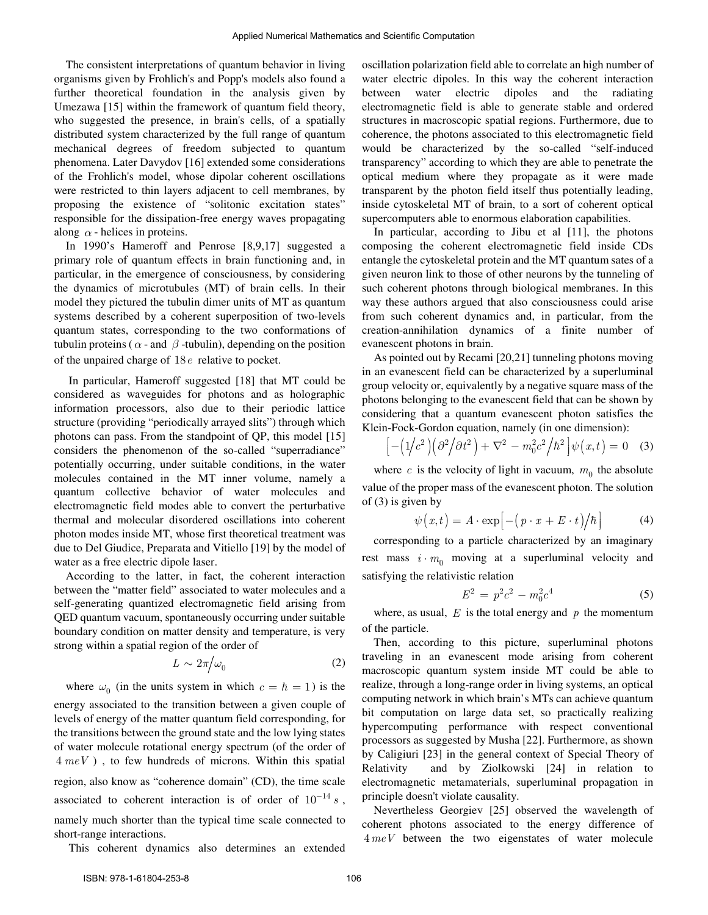The consistent interpretations of quantum behavior in living organisms given by Frohlich's and Popp's models also found a further theoretical foundation in the analysis given by Umezawa [15] within the framework of quantum field theory, who suggested the presence, in brain's cells, of a spatially distributed system characterized by the full range of quantum mechanical degrees of freedom subjected to quantum phenomena. Later Davydov [16] extended some considerations of the Frohlich's model, whose dipolar coherent oscillations were restricted to thin layers adjacent to cell membranes, by proposing the existence of "solitonic excitation states" responsible for the dissipation-free energy waves propagating along  $\alpha$  - helices in proteins.

In 1990's Hameroff and Penrose [8,9,17] suggested a primary role of quantum effects in brain functioning and, in particular, in the emergence of consciousness, by considering the dynamics of microtubules (MT) of brain cells. In their model they pictured the tubulin dimer units of MT as quantum systems described by a coherent superposition of two-levels quantum states, corresponding to the two conformations of tubulin proteins ( $\alpha$  - and  $\beta$  -tubulin), depending on the position of the unpaired charge of 18*e* relative to pocket.

In particular, Hameroff suggested [18] that MT could be considered as waveguides for photons and as holographic information processors, also due to their periodic lattice structure (providing "periodically arrayed slits") through which photons can pass. From the standpoint of QP, this model [15] considers the phenomenon of the so-called "superradiance" potentially occurring, under suitable conditions, in the water molecules contained in the MT inner volume, namely a quantum collective behavior of water molecules and electromagnetic field modes able to convert the perturbative thermal and molecular disordered oscillations into coherent photon modes inside MT, whose first theoretical treatment was due to Del Giudice, Preparata and Vitiello [19] by the model of water as a free electric dipole laser.

According to the latter, in fact, the coherent interaction between the "matter field" associated to water molecules and a self-generating quantized electromagnetic field arising from QED quantum vacuum, spontaneously occurring under suitable boundary condition on matter density and temperature, is very strong within a spatial region of the order of

$$
L \sim 2\pi/\omega_0 \tag{2}
$$

where  $\omega_0$  (in the units system in which  $c = \hbar = 1$ ) is the energy associated to the transition between a given couple of levels of energy of the matter quantum field corresponding, for the transitions between the ground state and the low lying states of water molecule rotational energy spectrum (of the order of 4 *meV* ) , to few hundreds of microns. Within this spatial region, also know as "coherence domain" (CD), the time scale associated to coherent interaction is of order of  $10^{-14} s$ , namely much shorter than the typical time scale connected to short-range interactions.

This coherent dynamics also determines an extended

oscillation polarization field able to correlate an high number of water electric dipoles. In this way the coherent interaction between water electric dipoles and the radiating electromagnetic field is able to generate stable and ordered structures in macroscopic spatial regions. Furthermore, due to coherence, the photons associated to this electromagnetic field would be characterized by the so-called "self-induced transparency" according to which they are able to penetrate the optical medium where they propagate as it were made transparent by the photon field itself thus potentially leading, inside cytoskeletal MT of brain, to a sort of coherent optical supercomputers able to enormous elaboration capabilities.

In particular, according to Jibu et al [11], the photons composing the coherent electromagnetic field inside CDs entangle the cytoskeletal protein and the MT quantum sates of a given neuron link to those of other neurons by the tunneling of such coherent photons through biological membranes. In this way these authors argued that also consciousness could arise from such coherent dynamics and, in particular, from the creation-annihilation dynamics of a finite number of evanescent photons in brain.

As pointed out by Recami [20,21] tunneling photons moving in an evanescent field can be characterized by a superluminal group velocity or, equivalently by a negative square mass of the photons belonging to the evanescent field that can be shown by considering that a quantum evanescent photon satisfies the Klein-Fock-Gordon equation, namely (in one dimension):

$$
\left[-\left(1/c^2\right)\left(\partial^2\middle/\partial t^2\right)+\nabla^2-m_0^2c^2\middle/\hbar^2\right]\psi(x,t)=0\quad(3)
$$

where  $c$  is the velocity of light in vacuum,  $m_0$  the absolute value of the proper mass of the evanescent photon. The solution of (3) is given by

$$
\psi(x,t) = A \cdot \exp\left[-\left(p \cdot x + E \cdot t\right)\middle/\hbar\right]
$$
 (4)

corresponding to a particle characterized by an imaginary rest mass  $i \cdot m_0$  moving at a superluminal velocity and satisfying the relativistic relation

$$
E^2 = p^2 c^2 - m_0^2 c^4 \tag{5}
$$

where, as usual,  $E$  is the total energy and  $p$  the momentum of the particle.

Then, according to this picture, superluminal photons traveling in an evanescent mode arising from coherent macroscopic quantum system inside MT could be able to realize, through a long-range order in living systems, an optical computing network in which brain's MTs can achieve quantum bit computation on large data set, so practically realizing hypercomputing performance with respect conventional processors as suggested by Musha [22]. Furthermore, as shown by Caligiuri [23] in the general context of Special Theory of Relativity and by Ziolkowski [24] in relation to electromagnetic metamaterials, superluminal propagation in principle doesn't violate causality.

Nevertheless Georgiev [25] observed the wavelength of coherent photons associated to the energy difference of 4*meV* between the two eigenstates of water molecule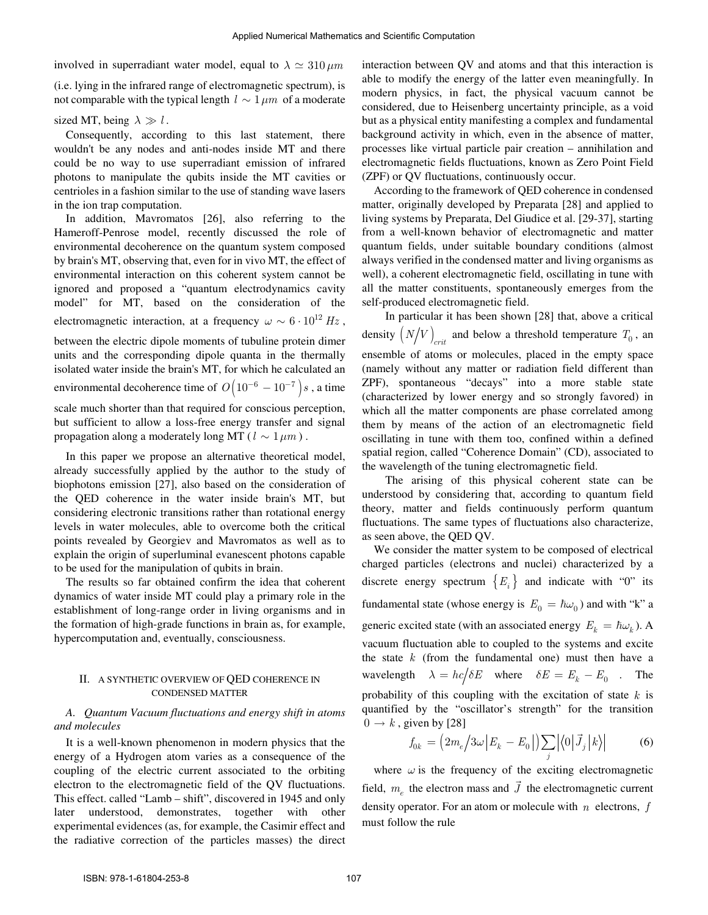involved in superradiant water model, equal to  $\lambda \simeq 310 \,\mu m$ 

(i.e. lying in the infrared range of electromagnetic spectrum), is not comparable with the typical length  $l \sim 1 \mu m$  of a moderate

sized MT, being  $\lambda \gg l$ .

Consequently, according to this last statement, there wouldn't be any nodes and anti-nodes inside MT and there could be no way to use superradiant emission of infrared photons to manipulate the qubits inside the MT cavities or centrioles in a fashion similar to the use of standing wave lasers in the ion trap computation.

In addition, Mavromatos [26], also referring to the Hameroff-Penrose model, recently discussed the role of environmental decoherence on the quantum system composed by brain's MT, observing that, even for in vivo MT, the effect of environmental interaction on this coherent system cannot be ignored and proposed a "quantum electrodynamics cavity model" for MT, based on the consideration of the electromagnetic interaction, at a frequency  $\omega \sim 6 \cdot 10^{12}$  Hz, between the electric dipole moments of tubuline protein dimer units and the corresponding dipole quanta in the thermally isolated water inside the brain's MT, for which he calculated an environmental decoherence time of  $O(10^{-6} - 10^{-7})s$ , a time scale much shorter than that required for conscious perception, but sufficient to allow a loss-free energy transfer and signal propagation along a moderately long MT ( $l \sim 1 \mu m$ ).

In this paper we propose an alternative theoretical model, already successfully applied by the author to the study of biophotons emission [27], also based on the consideration of the QED coherence in the water inside brain's MT, but considering electronic transitions rather than rotational energy levels in water molecules, able to overcome both the critical points revealed by Georgiev and Mavromatos as well as to explain the origin of superluminal evanescent photons capable to be used for the manipulation of qubits in brain.

The results so far obtained confirm the idea that coherent dynamics of water inside MT could play a primary role in the establishment of long-range order in living organisms and in the formation of high-grade functions in brain as, for example, hypercomputation and, eventually, consciousness.

# II. A SYNTHETIC OVERVIEW OF QED COHERENCE IN CONDENSED MATTER

# *A. Quantum Vacuum fluctuations and energy shift in atoms and molecules*

It is a well-known phenomenon in modern physics that the energy of a Hydrogen atom varies as a consequence of the coupling of the electric current associated to the orbiting electron to the electromagnetic field of the QV fluctuations. This effect. called "Lamb – shift", discovered in 1945 and only later understood, demonstrates, together with other experimental evidences (as, for example, the Casimir effect and the radiative correction of the particles masses) the direct

interaction between QV and atoms and that this interaction is able to modify the energy of the latter even meaningfully. In modern physics, in fact, the physical vacuum cannot be considered, due to Heisenberg uncertainty principle, as a void but as a physical entity manifesting a complex and fundamental background activity in which, even in the absence of matter, processes like virtual particle pair creation – annihilation and electromagnetic fields fluctuations, known as Zero Point Field (ZPF) or QV fluctuations, continuously occur.

According to the framework of QED coherence in condensed matter, originally developed by Preparata [28] and applied to living systems by Preparata, Del Giudice et al. [29-37], starting from a well-known behavior of electromagnetic and matter quantum fields, under suitable boundary conditions (almost always verified in the condensed matter and living organisms as well), a coherent electromagnetic field, oscillating in tune with all the matter constituents, spontaneously emerges from the self-produced electromagnetic field.

In particular it has been shown [28] that, above a critical density  $(N/V)_{crit}$  and below a threshold temperature  $T_0$ , an ensemble of atoms or molecules, placed in the empty space (namely without any matter or radiation field different than ZPF), spontaneous "decays" into a more stable state (characterized by lower energy and so strongly favored) in which all the matter components are phase correlated among them by means of the action of an electromagnetic field oscillating in tune with them too, confined within a defined spatial region, called "Coherence Domain" (CD), associated to the wavelength of the tuning electromagnetic field.

The arising of this physical coherent state can be understood by considering that, according to quantum field theory, matter and fields continuously perform quantum fluctuations. The same types of fluctuations also characterize, as seen above, the QED QV.

We consider the matter system to be composed of electrical charged particles (electrons and nuclei) characterized by a discrete energy spectrum  ${E_i}$  and indicate with "0" its fundamental state (whose energy is  $E_0 = \hbar \omega_0$ ) and with "k" a generic excited state (with an associated energy  $E_k = \hbar \omega_k$ ). A vacuum fluctuation able to coupled to the systems and excite the state *k* (from the fundamental one) must then have a wavelength  $\lambda = hc/\delta E$  where  $\delta E = E_k - E_0$  . The probability of this coupling with the excitation of state *k* is quantified by the "oscillator's strength" for the transition  $0 \rightarrow k$ , given by [28]  $\rightarrow$ 

$$
f_{0k} = \left(2m_e/3\omega \left|E_k - E_0\right|\right) \sum_j \left|\langle 0\left|\vec{J}_j\right|k\rangle\right| \tag{6}
$$

where  $\omega$  is the frequency of the exciting electromagnetic field,  $m_e$  the electron mass and *J*  $\rightarrow$ the electromagnetic current density operator. For an atom or molecule with *n* electrons, *f* must follow the rule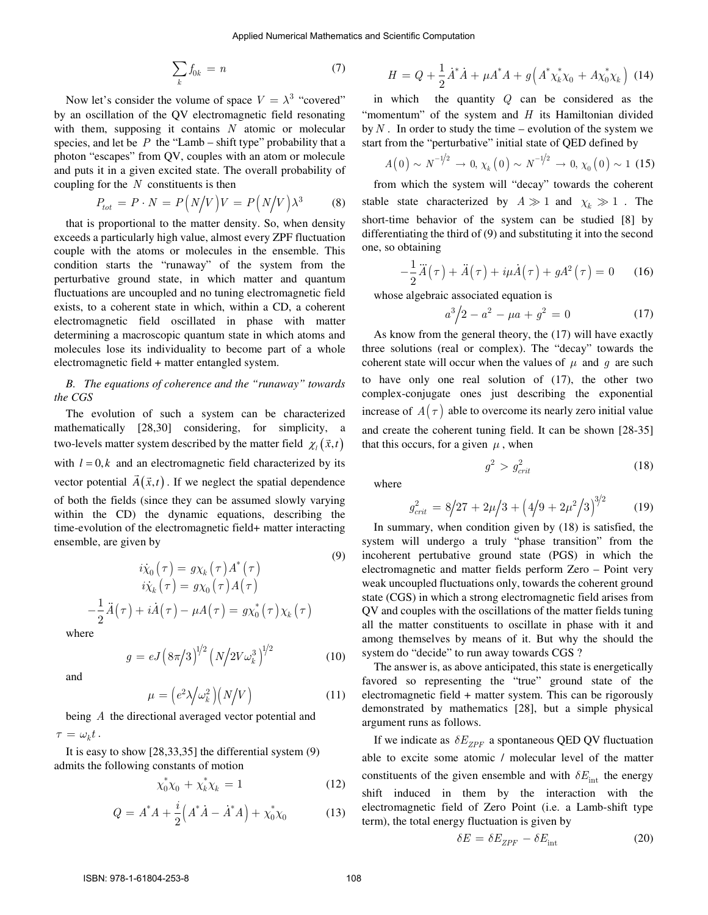$$
\sum_{k} f_{0k} = n \tag{7}
$$

Now let's consider the volume of space  $V = \lambda^3$  "covered" by an oscillation of the QV electromagnetic field resonating with them, supposing it contains *N* atomic or molecular species, and let be  $P$  the "Lamb – shift type" probability that a photon "escapes" from QV, couples with an atom or molecule and puts it in a given excited state. The overall probability of coupling for the *N* constituents is then

$$
P_{tot} = P \cdot N = P\left(N/V\right)V = P\left(N/V\right)\lambda^3 \tag{8}
$$

that is proportional to the matter density. So, when density exceeds a particularly high value, almost every ZPF fluctuation couple with the atoms or molecules in the ensemble. This condition starts the "runaway" of the system from the perturbative ground state, in which matter and quantum fluctuations are uncoupled and no tuning electromagnetic field exists, to a coherent state in which, within a CD, a coherent electromagnetic field oscillated in phase with matter determining a macroscopic quantum state in which atoms and molecules lose its individuality to become part of a whole electromagnetic field + matter entangled system.

### *B. The equations of coherence and the "runaway" towards the CGS*

The evolution of such a system can be characterized mathematically [28,30] considering, for simplicity, a  $t_{\text{two-level}}$  and  $\frac{1}{2}$   $\frac{1}{2}$   $\frac{1}{2}$   $\frac{1}{2}$   $\frac{1}{2}$   $\frac{1}{2}$   $\frac{1}{2}$   $\frac{1}{2}$   $\frac{1}{2}$   $\frac{1}{2}$   $\frac{1}{2}$   $\frac{1}{2}$   $\frac{1}{2}$   $\frac{1}{2}$   $\frac{1}{2}$   $\frac{1}{2}$   $\frac{1}{2}$   $\frac{1}{2}$   $\frac{1}{2}$   $\frac{1}{2}$   $\frac{1}{$ with  $l = 0, k$  and an electromagnetic field characterized by its vector potential  $\vec{A}(\vec{x},t)$ . If we neglect the spatial dependence of both the fields (since they can be assumed slowly varying within the CD) the dynamic equations, describing the time-evolution of the electromagnetic field+ matter interacting ensemble, are given by (9)

$$
i\dot{\chi}_0(\tau) = g\chi_k(\tau) A^*(\tau)
$$
  
\n
$$
i\dot{\chi}_k(\tau) = g\chi_0(\tau) A(\tau)
$$
  
\n
$$
-\frac{1}{2}\ddot{A}(\tau) + i\dot{A}(\tau) - \mu A(\tau) = g\chi_0^*(\tau)\chi_k(\tau)
$$

where

and

$$
g = eJ \left( 8\pi/3 \right)^{1/2} \left( N/2V\omega_k^3 \right)^{1/2} \tag{10}
$$

$$
\mu = \left(e^2 \lambda / \omega_k^2\right) \left(N / V\right) \tag{11}
$$

being *A* the directional averaged vector potential and  $\tau = \omega_k t$ .

It is easy to show [28,33,35] the differential system (9) admits the following constants of motion

$$
\chi_0^* \chi_0 + \chi_k^* \chi_k = 1 \tag{12}
$$

$$
Q = A^* A + \frac{i}{2} \left( A^* \dot{A} - \dot{A}^* A \right) + \chi_0^* \chi_0 \tag{13}
$$

$$
H = Q + \frac{1}{2} \dot{A}^* \dot{A} + \mu A^* A + g \left( A^* \chi_k^* \chi_0 + A \chi_0^* \chi_k \right) \tag{14}
$$

in which the quantity *Q* can be considered as the "momentum" of the system and *H* its Hamiltonian divided by  $N$ . In order to study the time – evolution of the system we start from the "perturbative" initial state of QED defined by

$$
A(0) \sim N^{-1/2} \to 0
$$
,  $\chi_k(0) \sim N^{-1/2} \to 0$ ,  $\chi_0(0) \sim 1$  (15)

from which the system will "decay" towards the coherent stable state characterized by  $A \gg 1$  and  $\chi_k \gg 1$ . The short-time behavior of the system can be studied [8] by differentiating the third of (9) and substituting it into the second one, so obtaining

$$
-\frac{1}{2}\ddot{A}(\tau) + \ddot{A}(\tau) + i\mu \dot{A}(\tau) + gA^2(\tau) = 0 \qquad (16)
$$

whose algebraic associated equation is

$$
a^3/2 - a^2 - \mu a + g^2 = 0 \tag{17}
$$

As know from the general theory, the (17) will have exactly three solutions (real or complex). The "decay" towards the coherent state will occur when the values of  $\mu$  and  $g$  are such to have only one real solution of (17), the other two complex-conjugate ones just describing the exponential increase of  $A(\tau)$  able to overcome its nearly zero initial value and create the coherent tuning field. It can be shown [28-35] that this occurs, for a given  $\mu$ , when

$$
g^2 > g_{crit}^2 \tag{18}
$$

where

$$
g_{crit}^2 = 8/27 + 2\mu/3 + \left(4/9 + 2\mu^2/3\right)^{3/2} \tag{19}
$$

In summary, when condition given by (18) is satisfied, the system will undergo a truly "phase transition" from the incoherent pertubative ground state (PGS) in which the electromagnetic and matter fields perform Zero – Point very weak uncoupled fluctuations only, towards the coherent ground state (CGS) in which a strong electromagnetic field arises from QV and couples with the oscillations of the matter fields tuning all the matter constituents to oscillate in phase with it and among themselves by means of it. But why the should the system do "decide" to run away towards CGS ?

The answer is, as above anticipated, this state is energetically favored so representing the "true" ground state of the electromagnetic field + matter system. This can be rigorously demonstrated by mathematics [28], but a simple physical argument runs as follows.

If we indicate as  $\delta E_{ZPF}$  a spontaneous QED QV fluctuation able to excite some atomic / molecular level of the matter constituents of the given ensemble and with  $\delta E_{\text{int}}$  the energy shift induced in them by the interaction with the electromagnetic field of Zero Point (i.e. a Lamb-shift type term), the total energy fluctuation is given by

$$
\delta E = \delta E_{ZPF} - \delta E_{\text{int}} \tag{20}
$$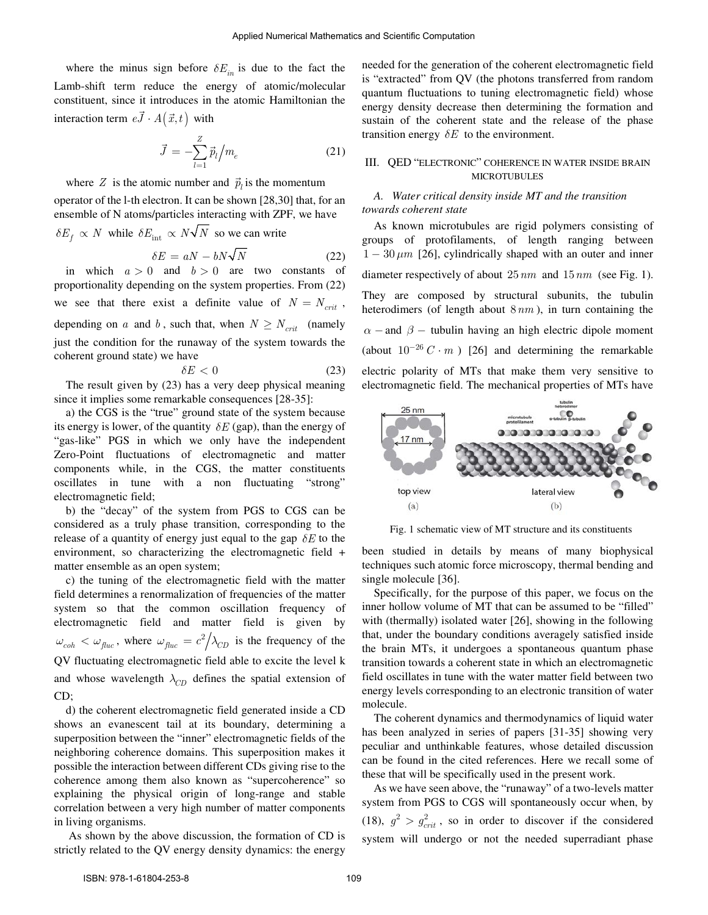where the minus sign before  $\delta E_{in}$  is due to the fact the Lamb-shift term reduce the energy of atomic/molecular constituent, since it introduces in the atomic Hamiltonian the interaction term  $e\vec{J} \cdot A(\vec{x},t)$  with

$$
\vec{J} = -\sum_{l=1}^{Z} \vec{p}_l \Big/ m_e \tag{21}
$$

where *Z* is the atomic number and  $\vec{p}_l$  is the momentum

operator of the l-th electron. It can be shown [28,30] that, for an ensemble of N atoms/particles interacting with ZPF, we have  $\delta E_f \propto N$  while  $\delta E_{int} \propto N\sqrt{N}$  so we can write

$$
\delta E = aN - bN\sqrt{N} \tag{22}
$$

in which  $a > 0$  and  $b > 0$  are two constants of proportionality depending on the system properties. From (22) we see that there exist a definite value of  $N = N_{crit}$ , depending on *a* and *b*, such that, when  $N \geq N_{crit}$  (namely just the condition for the runaway of the system towards the coherent ground state) we have

$$
\delta E < 0 \tag{23}
$$

The result given by (23) has a very deep physical meaning since it implies some remarkable consequences [28-35]:

a) the CGS is the "true" ground state of the system because its energy is lower, of the quantity  $\delta E$  (gap), than the energy of "gas-like" PGS in which we only have the independent Zero-Point fluctuations of electromagnetic and matter components while, in the CGS, the matter constituents oscillates in tune with a non fluctuating "strong" electromagnetic field;

b) the "decay" of the system from PGS to CGS can be considered as a truly phase transition, corresponding to the release of a quantity of energy just equal to the gap  $\delta E$  to the environment, so characterizing the electromagnetic field + matter ensemble as an open system;

c) the tuning of the electromagnetic field with the matter field determines a renormalization of frequencies of the matter system so that the common oscillation frequency of electromagnetic field and matter field is given by  $\omega_{coh} < \omega_{fluc}$ , where  $\omega_{fluc} = c^2/\lambda_{CD}$  is the frequency of the QV fluctuating electromagnetic field able to excite the level k and whose wavelength  $\lambda_{CD}$  defines the spatial extension of CD;

d) the coherent electromagnetic field generated inside a CD shows an evanescent tail at its boundary, determining a superposition between the "inner" electromagnetic fields of the neighboring coherence domains. This superposition makes it possible the interaction between different CDs giving rise to the coherence among them also known as "supercoherence" so explaining the physical origin of long-range and stable correlation between a very high number of matter components in living organisms.

As shown by the above discussion, the formation of CD is strictly related to the QV energy density dynamics: the energy

needed for the generation of the coherent electromagnetic field is "extracted" from QV (the photons transferred from random quantum fluctuations to tuning electromagnetic field) whose energy density decrease then determining the formation and sustain of the coherent state and the release of the phase transition energy  $\delta E$  to the environment.

## III. QED "ELECTRONIC" COHERENCE IN WATER INSIDE BRAIN MICROTUBULES

## *A. Water critical density inside MT and the transition towards coherent state*

As known microtubules are rigid polymers consisting of groups of protofilaments, of length ranging between  $1 - 30 \mu m$  [26], cylindrically shaped with an outer and inner diameter respectively of about 25*nm* and 15*nm* (see Fig. 1). They are composed by structural subunits, the tubulin heterodimers (of length about 8*nm* ), in turn containing the  $\alpha$  – and  $\beta$  – tubulin having an high electric dipole moment (about  $10^{-26}$  C · m ) [26] and determining the remarkable electric polarity of MTs that make them very sensitive to electromagnetic field. The mechanical properties of MTs have



Fig. 1 schematic view of MT structure and its constituents

been studied in details by means of many biophysical techniques such atomic force microscopy, thermal bending and single molecule [36].

Specifically, for the purpose of this paper, we focus on the inner hollow volume of MT that can be assumed to be "filled" with (thermally) isolated water [26], showing in the following that, under the boundary conditions averagely satisfied inside the brain MTs, it undergoes a spontaneous quantum phase transition towards a coherent state in which an electromagnetic field oscillates in tune with the water matter field between two energy levels corresponding to an electronic transition of water molecule.

The coherent dynamics and thermodynamics of liquid water has been analyzed in series of papers [31-35] showing very peculiar and unthinkable features, whose detailed discussion can be found in the cited references. Here we recall some of these that will be specifically used in the present work.

As we have seen above, the "runaway" of a two-levels matter system from PGS to CGS will spontaneously occur when, by (18),  $g^2 > g_{crit}^2$ , so in order to discover if the considered system will undergo or not the needed superradiant phase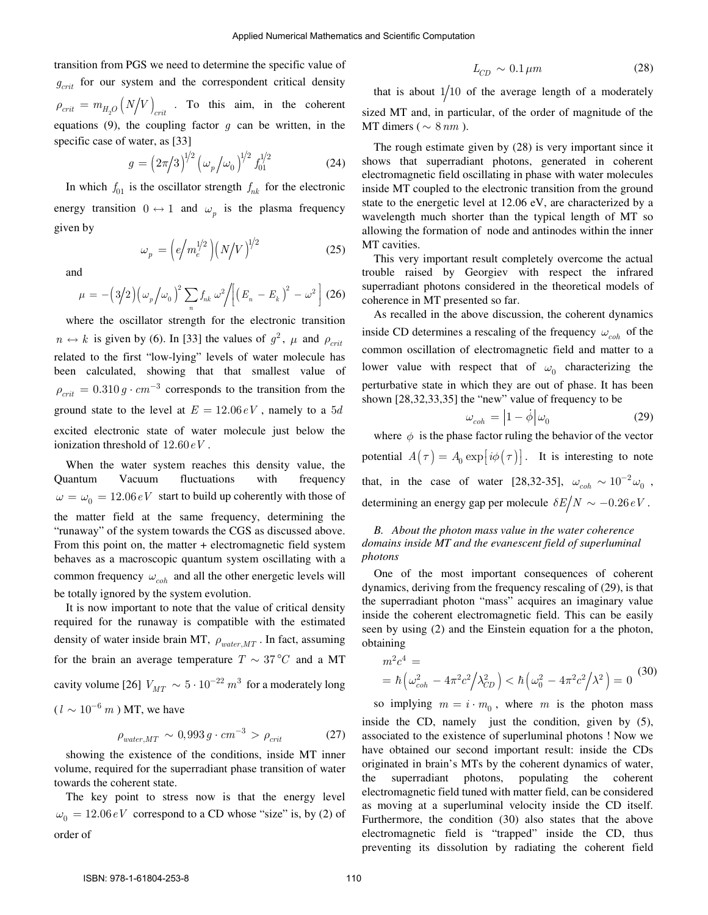transition from PGS we need to determine the specific value of  $g_{crit}$  for our system and the correspondent critical density  $\rho_{crit} = m_{H_2O} (N/V)_{crit}$ . To this aim, in the coherent equations  $(9)$ , the coupling factor  $g$  can be written, in the specific case of water, as [33]

$$
g = \left(2\pi/3\right)^{1/2} \left(\omega_p/\omega_0\right)^{1/2} f_{01}^{1/2} \tag{24}
$$

 $\omega_p = \left( e/m_e^{1/2} \right) \left( N/V \right)^{1/2}$  (25)

In which  $f_{01}$  is the oscillator strength  $f_{nk}$  for the electronic energy transition  $0 \leftrightarrow 1$  and  $\omega_p$  is the plasma frequency given by

and

$$
\mu = -\left(3/2\right)\left(\omega_p\big/\omega_0\right)^2 \sum_n f_{nk} \,\omega^2 / \left[\left(E_n - E_k\right)^2 - \omega^2\right] \,(26)
$$

where the oscillator strength for the electronic transition  $n \leftrightarrow k$  is given by (6). In [33] the values of  $g^2$ ,  $\mu$  and  $\rho_{crit}$ related to the first "low-lying" levels of water molecule has been calculated, showing that that smallest value of  $\rho_{crit} = 0.310 g \cdot cm^{-3}$  corresponds to the transition from the ground state to the level at  $E = 12.06 \, eV$ , namely to a 5*d* excited electronic state of water molecule just below the ionization threshold of 12.60*eV* .

When the water system reaches this density value, the Quantum Vacuum fluctuations with frequency  $\omega = \omega_0 = 12.06 \, \text{eV}$  start to build up coherently with those of the matter field at the same frequency, determining the "runaway" of the system towards the CGS as discussed above. From this point on, the matter + electromagnetic field system behaves as a macroscopic quantum system oscillating with a common frequency  $\omega_{coh}$  and all the other energetic levels will be totally ignored by the system evolution.

It is now important to note that the value of critical density required for the runaway is compatible with the estimated density of water inside brain MT,  $\rho_{water, MT}$ . In fact, assuming for the brain an average temperature  $T \sim 37^{\circ}C$  and a MT cavity volume [26]  $V_{MT} \sim 5 \cdot 10^{-22} \, m^3$  for a moderately long  $(l \sim 10^{-6} \ m)$  MT, we have

$$
\rho_{water, MT} \sim 0,993 g \cdot cm^{-3} > \rho_{crit} \tag{27}
$$

showing the existence of the conditions, inside MT inner volume, required for the superradiant phase transition of water towards the coherent state.

The key point to stress now is that the energy level  $\omega_0 = 12.06 \, \text{eV}$  correspond to a CD whose "size" is, by (2) of order of

$$
L_{CD} \sim 0.1 \,\mu m \tag{28}
$$

that is about  $1/10$  of the average length of a moderately sized MT and, in particular, of the order of magnitude of the MT dimers ( $\sim 8 \, nm$ ).

The rough estimate given by (28) is very important since it shows that superradiant photons, generated in coherent electromagnetic field oscillating in phase with water molecules inside MT coupled to the electronic transition from the ground state to the energetic level at 12.06 eV, are characterized by a wavelength much shorter than the typical length of MT so allowing the formation of node and antinodes within the inner MT cavities.

This very important result completely overcome the actual trouble raised by Georgiev with respect the infrared superradiant photons considered in the theoretical models of coherence in MT presented so far.

As recalled in the above discussion, the coherent dynamics inside CD determines a rescaling of the frequency  $\omega_{coh}$  of the common oscillation of electromagnetic field and matter to a lower value with respect that of  $\omega_0$  characterizing the perturbative state in which they are out of phase. It has been shown [28,32,33,35] the "new" value of frequency to be

$$
\omega_{coh} = \left| 1 - \dot{\phi} \right| \omega_0 \tag{29}
$$

where  $\phi$  is the phase factor ruling the behavior of the vector potential  $A(\tau) = A_0 \exp[i\phi(\tau)].$  It is interesting to note that, in the case of water [28,32-35],  $\omega_{coh} \sim 10^{-2} \omega_0$ , determining an energy gap per molecule  $\delta E/N \sim -0.26 \, eV$ .

# *B. About the photon mass value in the water coherence domains inside MT and the evanescent field of superluminal photons*

One of the most important consequences of coherent dynamics, deriving from the frequency rescaling of (29), is that the superradiant photon "mass" acquires an imaginary value inside the coherent electromagnetic field. This can be easily seen by using (2) and the Einstein equation for a the photon, obtaining

$$
m^{2}c^{4} =
$$
  
=  $\hbar \left(\omega_{coh}^{2} - 4\pi^{2}c^{2} / \lambda_{CD}^{2}\right) < \hbar \left(\omega_{0}^{2} - 4\pi^{2}c^{2} / \lambda^{2}\right) = 0$  (30)

so implying  $m = i \cdot m_0$ , where  $m$  is the photon mass inside the CD, namely just the condition, given by (5), associated to the existence of superluminal photons ! Now we have obtained our second important result: inside the CDs originated in brain's MTs by the coherent dynamics of water, the superradiant photons, populating the coherent electromagnetic field tuned with matter field, can be considered as moving at a superluminal velocity inside the CD itself. Furthermore, the condition (30) also states that the above electromagnetic field is "trapped" inside the CD, thus preventing its dissolution by radiating the coherent field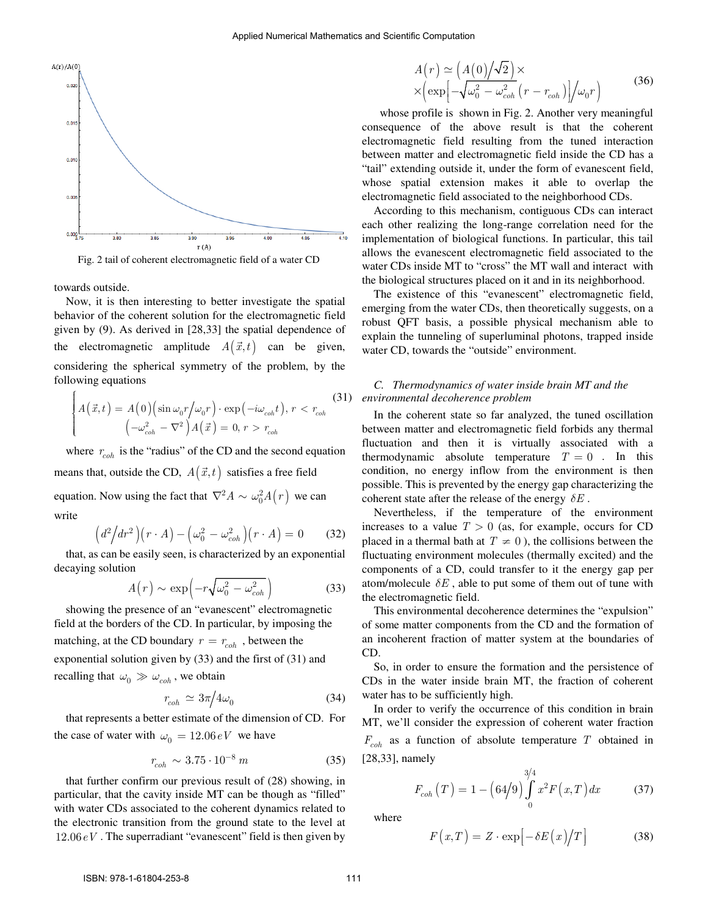

Fig. 2 tail of coherent electromagnetic field of a water CD

towards outside.

 $\epsilon$ 

Now, it is then interesting to better investigate the spatial behavior of the coherent solution for the electromagnetic field given by (9). As derived in [28,33] the spatial dependence of the electromagnetic amplitude  $A(\vec{x}, t)$  can be given, considering the spherical symmetry of the problem, by the following equations

$$
\begin{cases} A(\vec{x},t) = A(0) \left( \sin \omega_0 r / \omega_0 r \right) \cdot \exp\left( -i\omega_{coh} t \right), r < r_{coh} \end{cases} \tag{31}
$$
\n
$$
\left( -\omega_{coh}^2 - \nabla^2 \right) A(\vec{x}) = 0, r > r_{coh} \end{cases}
$$

where  $r_{coh}$  is the "radius" of the CD and the second equation means that, outside the CD,  $A(\vec{x},t)$  satisfies a free field equation. Now using the fact that  $\nabla^2 A \sim \omega_0^2 A(r)$  we can write

$$
\left(d^2\middle/dr^2\right)\left(r \cdot A\right) - \left(\omega_0^2 - \omega_{coh}^2\right)\left(r \cdot A\right) = 0 \tag{32}
$$

that, as can be easily seen, is characterized by an exponential decaying solution

$$
A(r) \sim \exp\left(-r\sqrt{\omega_0^2 - \omega_{coh}^2}\right)
$$
 (33)

showing the presence of an "evanescent" electromagnetic field at the borders of the CD. In particular, by imposing the matching, at the CD boundary  $r = r_{coh}$ , between the exponential solution given by (33) and the first of (31) and recalling that  $\omega_0 \gg \omega_{coh}$ , we obtain

$$
r_{coh} \simeq 3\pi/4\omega_0 \tag{34}
$$

that represents a better estimate of the dimension of CD. For the case of water with  $\omega_0 = 12.06 \, \text{eV}$  we have

$$
r_{coh} \sim 3.75 \cdot 10^{-8} \, m \tag{35}
$$

that further confirm our previous result of (28) showing, in particular, that the cavity inside MT can be though as "filled" with water CDs associated to the coherent dynamics related to the electronic transition from the ground state to the level at 12.06*eV* . The superradiant "evanescent" field is then given by

$$
A(r) \simeq (A(0)/\sqrt{2}) \times
$$
  
 
$$
\times \left(\exp\left[-\sqrt{\omega_0^2 - \omega_{coh}^2}(r - r_{coh})\right]/\omega_0 r\right)
$$
 (36)

 whose profile is shown in Fig. 2. Another very meaningful consequence of the above result is that the coherent electromagnetic field resulting from the tuned interaction between matter and electromagnetic field inside the CD has a "tail" extending outside it, under the form of evanescent field, whose spatial extension makes it able to overlap the electromagnetic field associated to the neighborhood CDs.

According to this mechanism, contiguous CDs can interact each other realizing the long-range correlation need for the implementation of biological functions. In particular, this tail allows the evanescent electromagnetic field associated to the water CDs inside MT to "cross" the MT wall and interact with the biological structures placed on it and in its neighborhood.

The existence of this "evanescent" electromagnetic field, emerging from the water CDs, then theoretically suggests, on a robust QFT basis, a possible physical mechanism able to explain the tunneling of superluminal photons, trapped inside water CD, towards the "outside" environment.

#### *C. Thermodynamics of water inside brain MT and the environmental decoherence problem*

In the coherent state so far analyzed, the tuned oscillation between matter and electromagnetic field forbids any thermal fluctuation and then it is virtually associated with a thermodynamic absolute temperature  $T = 0$ . In this condition, no energy inflow from the environment is then possible. This is prevented by the energy gap characterizing the coherent state after the release of the energy  $\delta E$ .

Nevertheless, if the temperature of the environment increases to a value  $T > 0$  (as, for example, occurs for CD placed in a thermal bath at  $T \neq 0$ ), the collisions between the fluctuating environment molecules (thermally excited) and the components of a CD, could transfer to it the energy gap per atom/molecule  $\delta E$ , able to put some of them out of tune with the electromagnetic field.

This environmental decoherence determines the "expulsion" of some matter components from the CD and the formation of an incoherent fraction of matter system at the boundaries of CD.

So, in order to ensure the formation and the persistence of CDs in the water inside brain MT, the fraction of coherent water has to be sufficiently high.

In order to verify the occurrence of this condition in brain MT, we'll consider the expression of coherent water fraction *Fcoh* as a function of absolute temperature *T* obtained in [28,33], namely

$$
F_{coh}(T) = 1 - (64/9) \int_{0}^{3/4} x^2 F(x, T) dx
$$
 (37)

where

$$
F(x,T) = Z \cdot \exp\left[-\delta E(x)/T\right]
$$
 (38)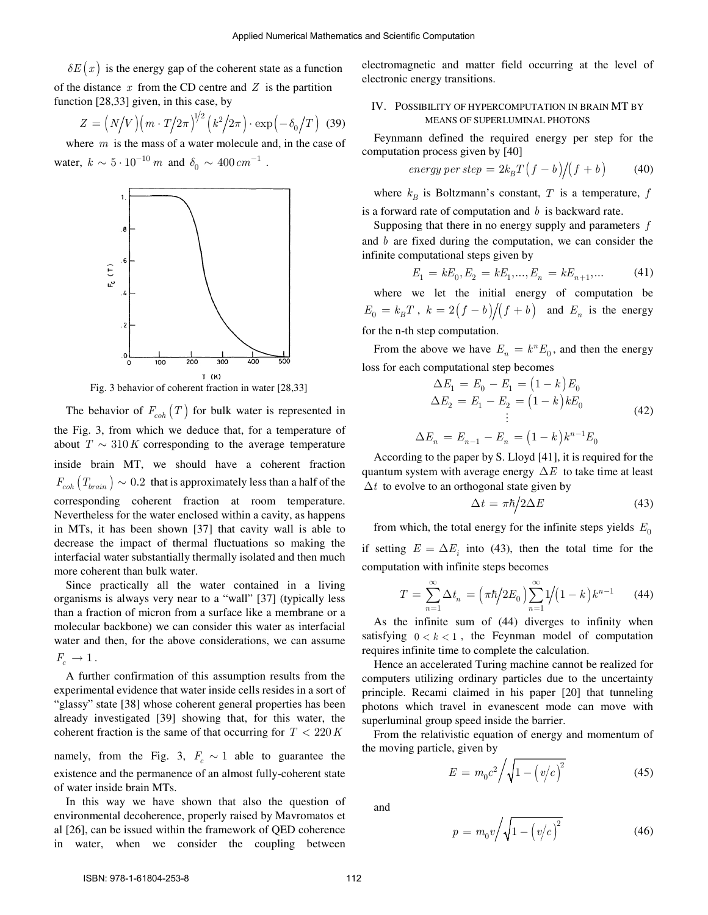$\delta E(x)$  is the energy gap of the coherent state as a function of the distance *x* from the CD centre and *Z* is the partition function [28,33] given, in this case, by

$$
Z = \left(N/V\right)\left(m \cdot T/2\pi\right)^{1/2}\left(k^2/2\pi\right) \cdot \exp\left(-\delta_0/T\right) \tag{39}
$$

where *m* is the mass of a water molecule and, in the case of water,  $k \sim 5 \cdot 10^{-10} \ m$  and  $\delta_0 \sim 400 \ cm^{-1}$ .



Fig. 3 behavior of coherent fraction in water [28,33]

The behavior of  $F_{coh}(T)$  for bulk water is represented in the Fig. 3, from which we deduce that, for a temperature of about  $T \sim 310 K$  corresponding to the average temperature inside brain MT, we should have a coherent fraction  $F_{coh} (T_{brain} ) \sim 0.2$  that is approximately less than a half of the corresponding coherent fraction at room temperature. Nevertheless for the water enclosed within a cavity, as happens in MTs, it has been shown [37] that cavity wall is able to decrease the impact of thermal fluctuations so making the interfacial water substantially thermally isolated and then much more coherent than bulk water.

Since practically all the water contained in a living organisms is always very near to a "wall" [37] (typically less than a fraction of micron from a surface like a membrane or a molecular backbone) we can consider this water as interfacial water and then, for the above considerations, we can assume  $F_c \rightarrow 1$ .

A further confirmation of this assumption results from the experimental evidence that water inside cells resides in a sort of "glassy" state [38] whose coherent general properties has been already investigated [39] showing that, for this water, the coherent fraction is the same of that occurring for  $T < 220 K$ 

namely, from the Fig. 3,  $F_c \sim 1$  able to guarantee the existence and the permanence of an almost fully-coherent state of water inside brain MTs.

In this way we have shown that also the question of environmental decoherence, properly raised by Mavromatos et al [26], can be issued within the framework of QED coherence in water, when we consider the coupling between

electromagnetic and matter field occurring at the level of electronic energy transitions.

### IV. POSSIBILITY OF HYPERCOMPUTATION IN BRAIN MT BY MEANS OF SUPERLUMINAL PHOTONS

Feynmann defined the required energy per step for the computation process given by [40]

$$
energy\ per\ step = 2k_B T(f - b)/(f + b) \tag{40}
$$

where  $k_B$  is Boltzmann's constant,  $T$  is a temperature,  $f$ is a forward rate of computation and *b* is backward rate.

Supposing that there in no energy supply and parameters *f* and *b* are fixed during the computation, we can consider the infinite computational steps given by

$$
E_1 = kE_0, E_2 = kE_1, \dots, E_n = kE_{n+1}, \dots
$$
 (41)

where we let the initial energy of computation be  $E_0 = k_B T$ ,  $k = 2(f - b)/(f + b)$  and  $E_n$  is the energy for the n-th step computation.

From the above we have  $E_n = k^n E_0$ , and then the energy loss for each computational step becomes

$$
\Delta E_1 = E_0 - E_1 = (1 - k) E_0
$$
  
\n
$$
\Delta E_2 = E_1 - E_2 = (1 - k) k E_0
$$
  
\n
$$
\vdots
$$
  
\n
$$
\Delta E_n = E_{n-1} - E_n = (1 - k) k^{n-1} E_0
$$
\n(42)

According to the paper by S. Lloyd [41], it is required for the quantum system with average energy  $\Delta E$  to take time at least  $\Delta t$  to evolve to an orthogonal state given by

$$
\Delta t = \pi \hbar / 2\Delta E \tag{43}
$$

from which, the total energy for the infinite steps yields  $E_0$ if setting  $E = \Delta E_i$  into (43), then the total time for the computation with infinite steps becomes

$$
T = \sum_{n=1}^{\infty} \Delta t_n = \left(\frac{\pi \hbar}{2E_0}\right) \sum_{n=1}^{\infty} \frac{1}{1-k} k^{n-1} \qquad (44)
$$

As the infinite sum of (44) diverges to infinity when satisfying  $0 < k < 1$ , the Feynman model of computation requires infinite time to complete the calculation.

Hence an accelerated Turing machine cannot be realized for computers utilizing ordinary particles due to the uncertainty principle. Recami claimed in his paper [20] that tunneling photons which travel in evanescent mode can move with superluminal group speed inside the barrier.

From the relativistic equation of energy and momentum of the moving particle, given by

$$
E = m_0 c^2 / \sqrt{1 - \left(v/c\right)^2} \tag{45}
$$

and

$$
p = m_0 v / \sqrt{1 - (v/c)^2}
$$
 (46)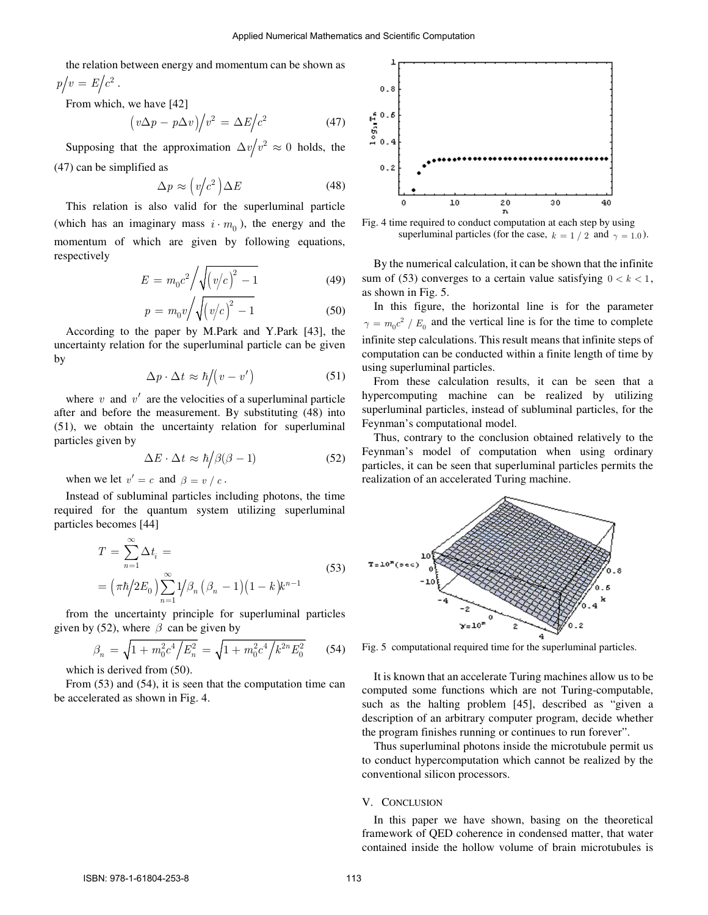the relation between energy and momentum can be shown as  $p/v = E/c^2$ .

From which, we have [42]

$$
\left(v\Delta p - p\Delta v\right)\middle/v^2 = \Delta E\middle/c^2\right.\tag{47}
$$

Supposing that the approximation  $\Delta v/v^2 \approx 0$  holds, the (47) can be simplified as

$$
\Delta p \approx \left(v/c^2\right) \Delta E \tag{48}
$$

This relation is also valid for the superluminal particle (which has an imaginary mass  $i \cdot m_0$ ), the energy and the momentum of which are given by following equations, respectively

$$
E = m_0 c^2 / \sqrt{(v/c)^2 - 1}
$$
 (49)

$$
p = m_0 v / \sqrt{\left(v/c\right)^2 - 1} \tag{50}
$$

According to the paper by M.Park and Y.Park [43], the uncertainty relation for the superluminal particle can be given by

$$
\Delta p \cdot \Delta t \approx \hbar \big/ \big( v - v' \big) \tag{51}
$$

where  $v$  and  $v'$  are the velocities of a superluminal particle after and before the measurement. By substituting (48) into (51), we obtain the uncertainty relation for superluminal particles given by

$$
\Delta E \cdot \Delta t \approx \hbar / \beta(\beta - 1) \tag{52}
$$

when we let  $v' = c$  and  $\beta = v / c$ .

Instead of subluminal particles including photons, the time required for the quantum system utilizing superluminal particles becomes [44]

$$
T = \sum_{n=1}^{\infty} \Delta t_i =
$$
  
= 
$$
(\pi \hbar / 2E_0) \sum_{n=1}^{\infty} 1 / \beta_n (\beta_n - 1) (1 - k) k^{n-1}
$$
 (53)

from the uncertainty principle for superluminal particles given by (52), where  $\beta$  can be given by

$$
\beta_n = \sqrt{1 + m_0^2 c^4 / E_n^2} = \sqrt{1 + m_0^2 c^4 / k^{2n} E_0^2}
$$
 (54)

which is derived from (50).

From (53) and (54), it is seen that the computation time can be accelerated as shown in Fig. 4.



Fig. 4 time required to conduct computation at each step by using superluminal particles (for the case,  $k = 1/2$  and  $\gamma = 1.0$ ).

By the numerical calculation, it can be shown that the infinite sum of (53) converges to a certain value satisfying  $0 < k < 1$ , as shown in Fig. 5.

In this figure, the horizontal line is for the parameter  $\gamma = m_0 c^2 / E_0$  and the vertical line is for the time to complete infinite step calculations. This result means that infinite steps of computation can be conducted within a finite length of time by using superluminal particles.

From these calculation results, it can be seen that a hypercomputing machine can be realized by utilizing superluminal particles, instead of subluminal particles, for the Feynman's computational model.

Thus, contrary to the conclusion obtained relatively to the Feynman's model of computation when using ordinary particles, it can be seen that superluminal particles permits the realization of an accelerated Turing machine.



Fig. 5 computational required time for the superluminal particles.

It is known that an accelerate Turing machines allow us to be computed some functions which are not Turing-computable, such as the halting problem [45], described as "given a description of an arbitrary computer program, decide whether the program finishes running or continues to run forever".

Thus superluminal photons inside the microtubule permit us to conduct hypercomputation which cannot be realized by the conventional silicon processors.

#### V. CONCLUSION

In this paper we have shown, basing on the theoretical framework of QED coherence in condensed matter, that water contained inside the hollow volume of brain microtubules is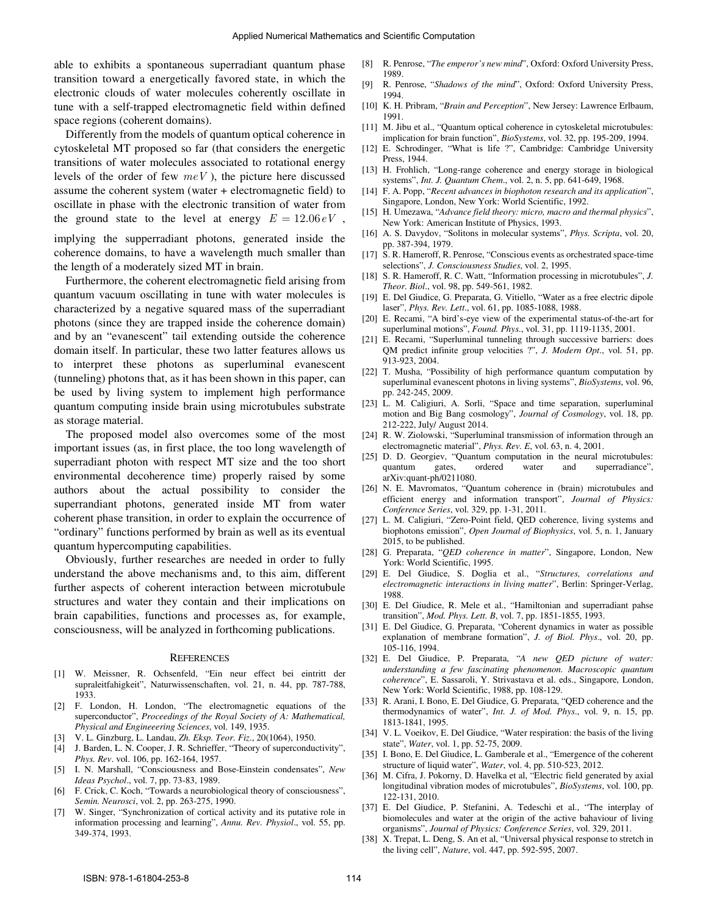able to exhibits a spontaneous superradiant quantum phase transition toward a energetically favored state, in which the electronic clouds of water molecules coherently oscillate in tune with a self-trapped electromagnetic field within defined space regions (coherent domains).

Differently from the models of quantum optical coherence in cytoskeletal MT proposed so far (that considers the energetic transitions of water molecules associated to rotational energy levels of the order of few *meV* ), the picture here discussed assume the coherent system (water + electromagnetic field) to oscillate in phase with the electronic transition of water from the ground state to the level at energy  $E = 12.06 \, eV$ ,

implying the supperradiant photons, generated inside the coherence domains, to have a wavelength much smaller than the length of a moderately sized MT in brain.

Furthermore, the coherent electromagnetic field arising from quantum vacuum oscillating in tune with water molecules is characterized by a negative squared mass of the superradiant photons (since they are trapped inside the coherence domain) and by an "evanescent" tail extending outside the coherence domain itself. In particular, these two latter features allows us to interpret these photons as superluminal evanescent (tunneling) photons that, as it has been shown in this paper, can be used by living system to implement high performance quantum computing inside brain using microtubules substrate as storage material.

The proposed model also overcomes some of the most important issues (as, in first place, the too long wavelength of superradiant photon with respect MT size and the too short environmental decoherence time) properly raised by some authors about the actual possibility to consider the superrandiant photons, generated inside MT from water coherent phase transition, in order to explain the occurrence of "ordinary" functions performed by brain as well as its eventual quantum hypercomputing capabilities.

Obviously, further researches are needed in order to fully understand the above mechanisms and, to this aim, different further aspects of coherent interaction between microtubule structures and water they contain and their implications on brain capabilities, functions and processes as, for example, consciousness, will be analyzed in forthcoming publications.

#### **REFERENCES**

- [1] W. Meissner, R. Ochsenfeld, "Ein neur effect bei eintritt der supraleitfahigkeit", Naturwissenschaften, vol. 21, n. 44, pp. 787-788, 1933.
- [2] F. London, H. London, "The electromagnetic equations of the superconductor", *Proceedings of the Royal Society of A: Mathematical, Physical and Engineeering Sciences*, vol. 149, 1935.
- [3] V. L. Ginzburg, L. Landau, *Zh. Eksp. Teor. Fiz*., 20(1064), 1950.
- [4] J. Barden, L. N. Cooper, J. R. Schrieffer, "Theory of superconductivity", *Phys. Rev*. vol. 106, pp. 162-164, 1957.
- [5] I. N. Marshall, "Consciousness and Bose-Einstein condensates", *New Ideas Psychol*., vol. 7, pp. 73-83, 1989.
- [6] F. Crick, C. Koch, "Towards a neurobiological theory of consciousness", *Semin. Neurosci*, vol. 2, pp. 263-275, 1990.
- [7] W. Singer, "Synchronization of cortical activity and its putative role in information processing and learning", *Annu. Rev. Physiol*., vol. 55, pp. 349-374, 1993.
- [8] R. Penrose, "*The emperor's new mind*", Oxford: Oxford University Press, 1989.
- [9] R. Penrose, "*Shadows of the mind*", Oxford: Oxford University Press, 1994.
- [10] K. H. Pribram, "*Brain and Perception*", New Jersey: Lawrence Erlbaum, 1991.
- [11] M. Jibu et al., "Quantum optical coherence in cytoskeletal microtubules: implication for brain function", *BioSystems*, vol. 32, pp. 195-209, 1994.
- [12] E. Schrodinger, "What is life ?", Cambridge: Cambridge University Press, 1944.
- [13] H. Frohlich, "Long-range coherence and energy storage in biological systems", *Int. J. Quantum Chem*., vol. 2, n. 5, pp. 641-649, 1968.
- [14] F. A. Popp, "*Recent advances in biophoton research and its application*", Singapore, London, New York: World Scientific, 1992.
- [15] H. Umezawa, "*Advance field theory: micro, macro and thermal physics*", New York: American Institute of Physics, 1993.
- [16] A. S. Davydov, "Solitons in molecular systems", *Phys. Scripta*, vol. 20, pp. 387-394, 1979.
- [17] S. R. Hameroff, R. Penrose, "Conscious events as orchestrated space-time selections", *J. Consciousness Studies*, vol. 2, 1995.
- [18] S. R. Hameroff, R. C. Watt, "Information processing in microtubules", *J. Theor. Biol*., vol. 98, pp. 549-561, 1982.
- [19] E. Del Giudice, G. Preparata, G. Vitiello, "Water as a free electric dipole laser", *Phys. Rev. Lett*., vol. 61, pp. 1085-1088, 1988.
- [20] E. Recami, "A bird's-eye view of the experimental status-of-the-art for superluminal motions", *Found. Phys*., vol. 31, pp. 1119-1135, 2001.
- [21] E. Recami, "Superluminal tunneling through successive barriers: does QM predict infinite group velocities ?", *J. Modern Opt*., vol. 51, pp. 913-923, 2004.
- [22] T. Musha, "Possibility of high performance quantum computation by superluminal evanescent photons in living systems", *BioSystems*, vol. 96, pp. 242-245, 2009.
- [23] L. M. Caligiuri, A. Sorli, "Space and time separation, superluminal motion and Big Bang cosmology", *Journal of Cosmology*, vol. 18, pp. 212-222, July/ August 2014.
- [24] R. W. Ziolowski, "Superluminal transmission of information through an electromagnetic material", *Phys. Rev. E*, vol. 63, n. 4, 2001.
- [25] D. D. Georgiev, "Quantum computation in the neural microtubules: quantum gates, ordered water and superradiance", arXiv:quant-ph/0211080.
- [26] N. E. Mavromatos, "Quantum coherence in (brain) microtubules and efficient energy and information transport", *Journal of Physics: Conference Series*, vol. 329, pp. 1-31, 2011.
- [27] L. M. Caligiuri, "Zero-Point field, QED coherence, living systems and biophotons emission", *Open Journal of Biophysics*, vol. 5, n. 1, January 2015, to be published.
- [28] G. Preparata, "*QED coherence in matter*", Singapore, London, New York: World Scientific, 1995.
- [29] E. Del Giudice, S. Doglia et al., "*Structures, correlations and electromagnetic interactions in living matter*", Berlin: Springer-Verlag, 1988.
- [30] E. Del Giudice, R. Mele et al., "Hamiltonian and superradiant pahse transition", *Mod. Phys. Lett. B*, vol. 7, pp. 1851-1855, 1993.
- [31] E. Del Giudice, G. Preparata, "Coherent dynamics in water as possible explanation of membrane formation", *J. of Biol. Phys*., vol. 20, pp. 105-116, 1994.
- [32] E. Del Giudice, P. Preparata, "*A new QED picture of water: understanding a few fascinating phenomenon. Macroscopic quantum coherence*", E. Sassaroli, Y. Strivastava et al. eds., Singapore, London, New York: World Scientific, 1988, pp. 108-129.
- [33] R. Arani, I. Bono, E. Del Giudice, G. Preparata, "QED coherence and the thermodynamics of water", *Int. J. of Mod. Phys*., vol. 9, n. 15, pp. 1813-1841, 1995.
- [34] V. L. Voeikov, E. Del Giudice, "Water respiration: the basis of the living state", *Water*, vol. 1, pp. 52-75, 2009.
- [35] I. Bono, E. Del Giudice, L. Gamberale et al., "Emergence of the coherent structure of liquid water", *Water*, vol. 4, pp. 510-523, 2012.
- [36] M. Cifra, J. Pokorny, D. Havelka et al, "Electric field generated by axial longitudinal vibration modes of microtubules", *BioSystems*, vol. 100, pp. 122-131, 2010.
- [37] E. Del Giudice, P. Stefanini, A. Tedeschi et al., "The interplay of biomolecules and water at the origin of the active bahaviour of living organisms", *Journal of Physics: Conference Series*, vol. 329, 2011.
- [38] X. Trepat, L. Deng, S. An et al, "Universal physical response to stretch in the living cell", *Nature*, vol. 447, pp. 592-595, 2007.